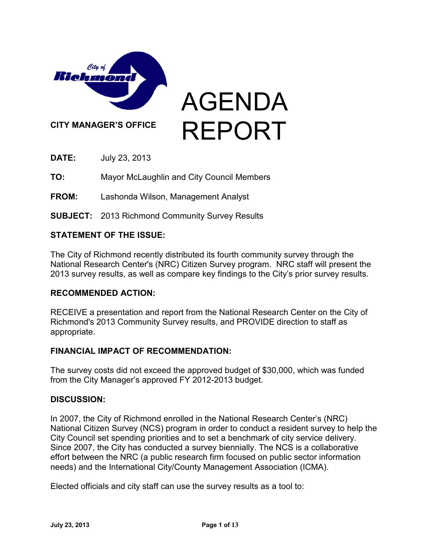

**DATE:** July 23, 2013

**TO:** Mayor McLaughlin and City Council Members

**FROM:** Lashonda Wilson, Management Analyst

**SUBJECT:** 2013 Richmond Community Survey Results

### **STATEMENT OF THE ISSUE:**

The City of Richmond recently distributed its fourth community survey through the National Research Center's (NRC) Citizen Survey program. NRC staff will present the 2013 survey results, as well as compare key findings to the City's prior survey results.

### **RECOMMENDED ACTION:**

RECEIVE a presentation and report from the National Research Center on the City of Richmond's 2013 Community Survey results, and PROVIDE direction to staff as appropriate.

### **FINANCIAL IMPACT OF RECOMMENDATION:**

The survey costs did not exceed the approved budget of \$30,000, which was funded from the City Manager's approved FY 2012-2013 budget.

### **DISCUSSION:**

In 2007, the City of Richmond enrolled in the National Research Center's (NRC) National Citizen Survey (NCS) program in order to conduct a resident survey to help the City Council set spending priorities and to set a benchmark of city service delivery. Since 2007, the City has conducted a survey biennially. The NCS is a collaborative effort between the NRC (a public research firm focused on public sector information needs) and the International City/County Management Association (ICMA).

Elected officials and city staff can use the survey results as a tool to: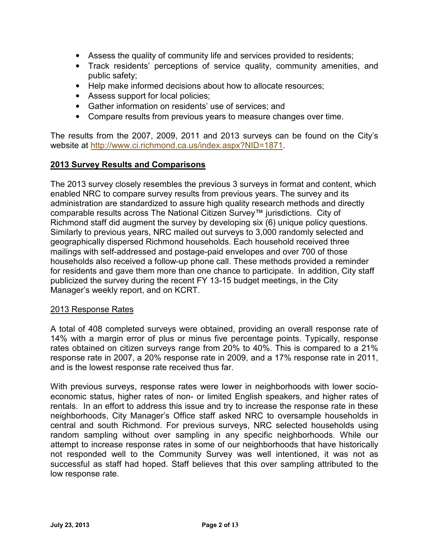- Assess the quality of community life and services provided to residents;
- Track residents' perceptions of service quality, community amenities, and public safety;
- Help make informed decisions about how to allocate resources;
- Assess support for local policies;
- Gather information on residents' use of services; and
- Compare results from previous years to measure changes over time.

The results from the 2007, 2009, 2011 and 2013 surveys can be found on the City's website at [http://www.ci.richmond.ca.us/index.aspx?NID=1871.](http://www.ci.richmond.ca.us/index.aspx?NID=1871)

### **2013 Survey Results and Comparisons**

The 2013 survey closely resembles the previous 3 surveys in format and content, which enabled NRC to compare survey results from previous years. The survey and its administration are standardized to assure high quality research methods and directly comparable results across The National Citizen Survey™ jurisdictions. City of Richmond staff did augment the survey by developing six (6) unique policy questions. Similarly to previous years, NRC mailed out surveys to 3,000 randomly selected and geographically dispersed Richmond households. Each household received three mailings with self-addressed and postage-paid envelopes and over 700 of those households also received a follow-up phone call. These methods provided a reminder for residents and gave them more than one chance to participate. In addition, City staff publicized the survey during the recent FY 13-15 budget meetings, in the City Manager's weekly report, and on KCRT.

#### 2013 Response Rates

A total of 408 completed surveys were obtained, providing an overall response rate of 14% with a margin error of plus or minus five percentage points. Typically, response rates obtained on citizen surveys range from 20% to 40%. This is compared to a 21% response rate in 2007, a 20% response rate in 2009, and a 17% response rate in 2011, and is the lowest response rate received thus far.

With previous surveys, response rates were lower in neighborhoods with lower socioeconomic status, higher rates of non- or limited English speakers, and higher rates of rentals. In an effort to address this issue and try to increase the response rate in these neighborhoods, City Manager's Office staff asked NRC to oversample households in central and south Richmond. For previous surveys, NRC selected households using random sampling without over sampling in any specific neighborhoods. While our attempt to increase response rates in some of our neighborhoods that have historically not responded well to the Community Survey was well intentioned, it was not as successful as staff had hoped. Staff believes that this over sampling attributed to the low response rate.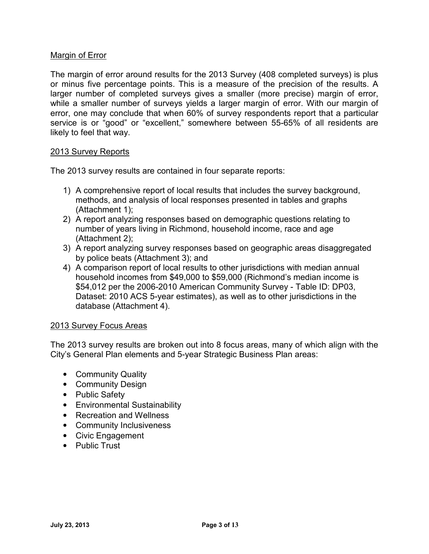### Margin of Error

The margin of error around results for the 2013 Survey (408 completed surveys) is plus or minus five percentage points. This is a measure of the precision of the results. A larger number of completed surveys gives a smaller (more precise) margin of error, while a smaller number of surveys yields a larger margin of error. With our margin of error, one may conclude that when 60% of survey respondents report that a particular service is or "good" or "excellent," somewhere between 55-65% of all residents are likely to feel that way.

### 2013 Survey Reports

The 2013 survey results are contained in four separate reports:

- 1) A comprehensive report of local results that includes the survey background, methods, and analysis of local responses presented in tables and graphs (Attachment 1);
- 2) A report analyzing responses based on demographic questions relating to number of years living in Richmond, household income, race and age (Attachment 2);
- 3) A report analyzing survey responses based on geographic areas disaggregated by police beats (Attachment 3); and
- 4) A comparison report of local results to other jurisdictions with median annual household incomes from \$49,000 to \$59,000 (Richmond's median income is \$54,012 per the 2006-2010 American Community Survey - Table ID: DP03, Dataset: 2010 ACS 5-year estimates), as well as to other jurisdictions in the database (Attachment 4).

### 2013 Survey Focus Areas

The 2013 survey results are broken out into 8 focus areas, many of which align with the City's General Plan elements and 5-year Strategic Business Plan areas:

- Community Quality
- Community Design
- Public Safety
- Environmental Sustainability
- Recreation and Wellness
- Community Inclusiveness
- Civic Engagement
- Public Trust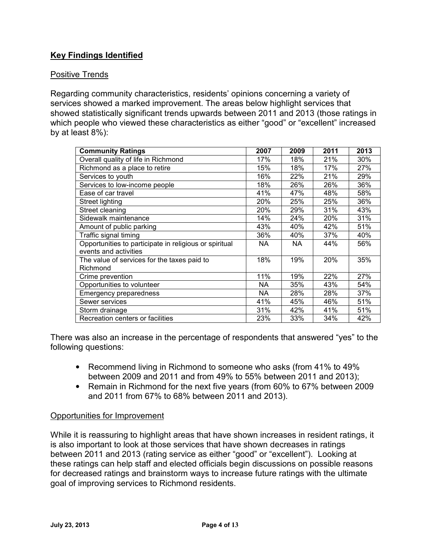# **Key Findings Identified**

## Positive Trends

Regarding community characteristics, residents' opinions concerning a variety of services showed a marked improvement. The areas below highlight services that showed statistically significant trends upwards between 2011 and 2013 (those ratings in which people who viewed these characteristics as either "good" or "excellent" increased by at least 8%):

| <b>Community Ratings</b>                               | 2007      | 2009 | 2011 | 2013 |
|--------------------------------------------------------|-----------|------|------|------|
| Overall quality of life in Richmond                    | 17%       | 18%  | 21%  | 30%  |
| Richmond as a place to retire                          | 15%       | 18%  | 17%  | 27%  |
| Services to youth                                      | 16%       | 22%  | 21%  | 29%  |
| Services to low-income people                          | 18%       | 26%  | 26%  | 36%  |
| Ease of car travel                                     | 41%       | 47%  | 48%  | 58%  |
| <b>Street lighting</b>                                 | 20%       | 25%  | 25%  | 36%  |
| Street cleaning                                        | 20%       | 29%  | 31%  | 43%  |
| Sidewalk maintenance                                   | 14%       | 24%  | 20%  | 31%  |
| Amount of public parking                               | 43%       | 40%  | 42%  | 51%  |
| Traffic signal timing                                  | 36%       | 40%  | 37%  | 40%  |
| Opportunities to participate in religious or spiritual | <b>NA</b> | NA   | 44%  | 56%  |
| events and activities                                  |           |      |      |      |
| The value of services for the taxes paid to            | 18%       | 19%  | 20%  | 35%  |
| Richmond                                               |           |      |      |      |
| Crime prevention                                       | 11%       | 19%  | 22%  | 27%  |
| Opportunities to volunteer                             | NA.       | 35%  | 43%  | 54%  |
| <b>Emergency preparedness</b>                          | <b>NA</b> | 28%  | 28%  | 37%  |
| Sewer services                                         | 41%       | 45%  | 46%  | 51%  |
| Storm drainage                                         | 31%       | 42%  | 41%  | 51%  |
| Recreation centers or facilities                       | 23%       | 33%  | 34%  | 42%  |

There was also an increase in the percentage of respondents that answered "yes" to the following questions:

- Recommend living in Richmond to someone who asks (from 41% to 49% between 2009 and 2011 and from 49% to 55% between 2011 and 2013);
- Remain in Richmond for the next five years (from 60% to 67% between 2009 and 2011 from 67% to 68% between 2011 and 2013).

### Opportunities for Improvement

While it is reassuring to highlight areas that have shown increases in resident ratings, it is also important to look at those services that have shown decreases in ratings between 2011 and 2013 (rating service as either "good" or "excellent"). Looking at these ratings can help staff and elected officials begin discussions on possible reasons for decreased ratings and brainstorm ways to increase future ratings with the ultimate goal of improving services to Richmond residents.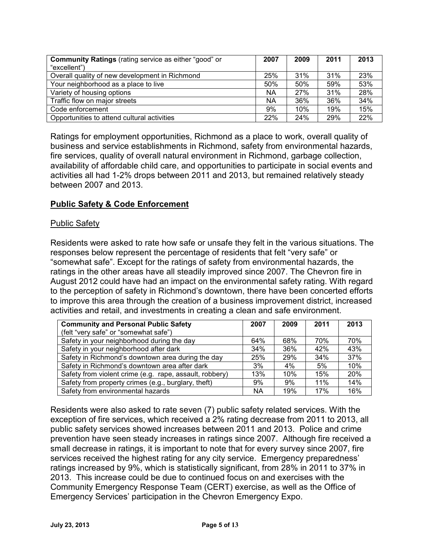| <b>Community Ratings (rating service as either "good" or</b><br>"excellent") | 2007 | 2009 | 2011 | 2013 |
|------------------------------------------------------------------------------|------|------|------|------|
| Overall quality of new development in Richmond                               | 25%  | 31%  | 31%  | 23%  |
| Your neighborhood as a place to live                                         | 50%  | 50%  | 59%  | 53%  |
| Variety of housing options                                                   | ΝA   | 27%  | 31%  | 28%  |
| Traffic flow on major streets                                                | ΝA   | 36%  | 36%  | 34%  |
| Code enforcement                                                             | 9%   | 10%  | 19%  | 15%  |
| Opportunities to attend cultural activities                                  | 22%  | 24%  | 29%  | 22%  |

Ratings for employment opportunities, Richmond as a place to work, overall quality of business and service establishments in Richmond, safety from environmental hazards, fire services, quality of overall natural environment in Richmond, garbage collection, availability of affordable child care, and opportunities to participate in social events and activities all had 1-2% drops between 2011 and 2013, but remained relatively steady between 2007 and 2013.

### **Public Safety & Code Enforcement**

### Public Safety

Residents were asked to rate how safe or unsafe they felt in the various situations. The responses below represent the percentage of residents that felt "very safe" or "somewhat safe". Except for the ratings of safety from environmental hazards, the ratings in the other areas have all steadily improved since 2007. The Chevron fire in August 2012 could have had an impact on the environmental safety rating. With regard to the perception of safety in Richmond's downtown, there have been concerted efforts to improve this area through the creation of a business improvement district, increased activities and retail, and investments in creating a clean and safe environment.

| <b>Community and Personal Public Safety</b>             | 2007 | 2009 | 2011 | 2013 |
|---------------------------------------------------------|------|------|------|------|
| (felt "very safe" or "somewhat safe")                   |      |      |      |      |
| Safety in your neighborhood during the day              | 64%  | 68%  | 70%  | 70%  |
| Safety in your neighborhood after dark                  | 34%  | 36%  | 42%  | 43%  |
| Safety in Richmond's downtown area during the day       | 25%  | 29%  | 34%  | 37%  |
| Safety in Richmond's downtown area after dark           | 3%   | 4%   | 5%   | 10%  |
| Safety from violent crime (e.g. rape, assault, robbery) | 13%  | 10%  | 15%  | 20%  |
| Safety from property crimes (e.g., burglary, theft)     | 9%   | 9%   | 11%  | 14%  |
| Safety from environmental hazards                       | NА   | 19%  | 17%  | 16%  |

Residents were also asked to rate seven (7) public safety related services. With the exception of fire services, which received a 2% rating decrease from 2011 to 2013, all public safety services showed increases between 2011 and 2013. Police and crime prevention have seen steady increases in ratings since 2007. Although fire received a small decrease in ratings, it is important to note that for every survey since 2007, fire services received the highest rating for any city service. Emergency preparedness' ratings increased by 9%, which is statistically significant, from 28% in 2011 to 37% in 2013. This increase could be due to continued focus on and exercises with the Community Emergency Response Team (CERT) exercise, as well as the Office of Emergency Services' participation in the Chevron Emergency Expo.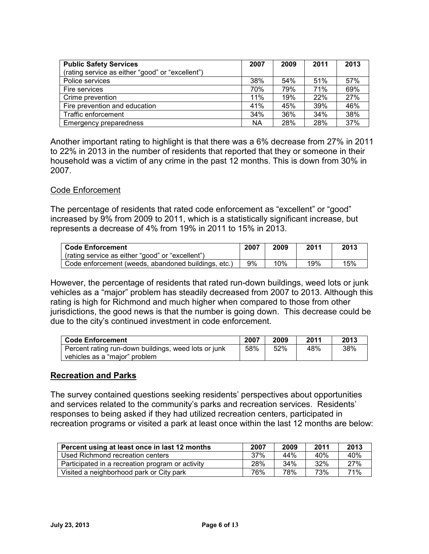| <b>Public Safety Services</b>                    | 2007      | 2009 | 2011 | 2013 |
|--------------------------------------------------|-----------|------|------|------|
| (rating service as either "good" or "excellent") |           |      |      |      |
| Police services                                  | 38%       | 54%  | 51%  | 57%  |
| Fire services                                    | 70%       | 79%  | 71%  | 69%  |
| Crime prevention                                 | 11%       | 19%  | 22%  | 27%  |
| Fire prevention and education                    | 41%       | 45%  | 39%  | 46%  |
| Traffic enforcement                              | 34%       | 36%  | 34%  | 38%  |
| Emergency preparedness                           | <b>NA</b> | 28%  | 28%  | 37%  |

Another important rating to highlight is that there was a 6% decrease from 27% in 2011 to 22% in 2013 in the number of residents that reported that they or someone in their household was a victim of any crime in the past 12 months. This is down from 30% in 2007.

### Code Enforcement

The percentage of residents that rated code enforcement as "excellent" or "good" increased by 9% from 2009 to 2011, which is a statistically significant increase, but represents a decrease of 4% from 19% in 2011 to 15% in 2013.

| ∣ Code Enforcement                                  | 2007 | 2009 | 2011 | 2013 |
|-----------------------------------------------------|------|------|------|------|
| (rating service as either "good" or "excellent")    |      |      |      |      |
| Code enforcement (weeds, abandoned buildings, etc.) | 9%   | 10%  | 19%  | 15%  |

However, the percentage of residents that rated run-down buildings, weed lots or junk vehicles as a "major" problem has steadily decreased from 2007 to 2013. Although this rating is high for Richmond and much higher when compared to those from other jurisdictions, the good news is that the number is going down. This decrease could be due to the city's continued investment in code enforcement.

| <b>Code Enforcement</b>                              | 2007 | 2009 | 2011 | 2013 |
|------------------------------------------------------|------|------|------|------|
| Percent rating run-down buildings, weed lots or junk | 58%  | 52%  | 48%  | 38%  |
| vehicles as a "major" problem                        |      |      |      |      |

### **Recreation and Parks**

The survey contained questions seeking residents' perspectives about opportunities and services related to the community's parks and recreation services. Residents' responses to being asked if they had utilized recreation centers, participated in recreation programs or visited a park at least once within the last 12 months are below:

| Percent using at least once in last 12 months    | 2007 | 2009 | 2011 | 2013 |
|--------------------------------------------------|------|------|------|------|
| Used Richmond recreation centers                 | 37%  | 44%  | 40%  | 40%  |
| Participated in a recreation program or activity | 28%  | 34%  | 32%  | 27%  |
| Visited a neighborhood park or City park         | 76%  | 78%  | 73%  | 71%  |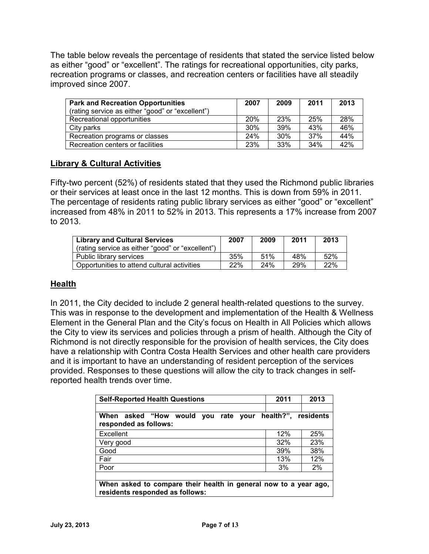The table below reveals the percentage of residents that stated the service listed below as either "good" or "excellent". The ratings for recreational opportunities, city parks, recreation programs or classes, and recreation centers or facilities have all steadily improved since 2007.

| <b>Park and Recreation Opportunities</b>         | 2007 | 2009 | 2011 | 2013 |
|--------------------------------------------------|------|------|------|------|
| (rating service as either "good" or "excellent") |      |      |      |      |
| Recreational opportunities                       | 20%  | 23%  | 25%  | 28%  |
| City parks                                       | 30%  | 39%  | 43%  | 46%  |
| Recreation programs or classes                   | 24%  | 30%  | 37%  | 44%  |
| Recreation centers or facilities                 | 23%  | 33%  | 34%  | 42%  |

# **Library & Cultural Activities**

Fifty-two percent (52%) of residents stated that they used the Richmond public libraries or their services at least once in the last 12 months. This is down from 59% in 2011. The percentage of residents rating public library services as either "good" or "excellent" increased from 48% in 2011 to 52% in 2013. This represents a 17% increase from 2007 to 2013.

| <b>Library and Cultural Services</b><br>(rating service as either "good" or "excellent") | 2007 | 2009 | 2011 | 2013 |
|------------------------------------------------------------------------------------------|------|------|------|------|
| Public library services                                                                  | 35%  | 51%  | 48%  | 52%  |
| Opportunities to attend cultural activities                                              | 22%  | 24%  | 29%  | 22%  |

### **Health**

In 2011, the City decided to include 2 general health-related questions to the survey. This was in response to the development and implementation of the Health & Wellness Element in the General Plan and the City's focus on Health in All Policies which allows the City to view its services and policies through a prism of health. Although the City of Richmond is not directly responsible for the provision of health services, the City does have a relationship with Contra Costa Health Services and other health care providers and it is important to have an understanding of resident perception of the services provided. Responses to these questions will allow the city to track changes in selfreported health trends over time.

| <b>Self-Reported Health Questions</b>                                                               | 2011 | 2013                     |
|-----------------------------------------------------------------------------------------------------|------|--------------------------|
|                                                                                                     |      |                          |
| When<br>asked "How would<br>rate<br>vou                                                             |      | your health?", residents |
| responded as follows:                                                                               |      |                          |
| Excellent                                                                                           | 12%  | 25%                      |
| Very good                                                                                           | 32%  | 23%                      |
| Good                                                                                                | 39%  | 38%                      |
| Fair                                                                                                | 13%  | 12%                      |
| Poor                                                                                                | 3%   | 2%                       |
|                                                                                                     |      |                          |
| When asked to compare their health in general now to a year ago,<br>residents responded as follows: |      |                          |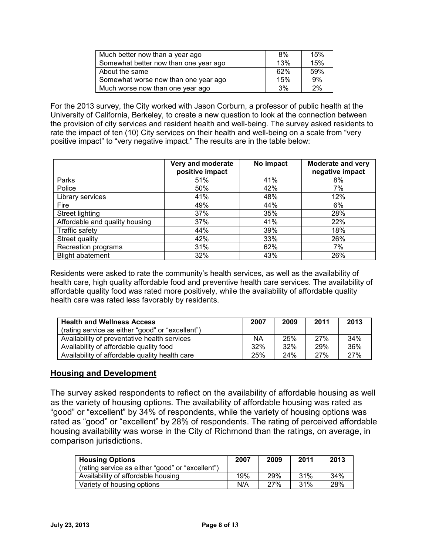| Much better now than a year ago       | 8%  | 15% |
|---------------------------------------|-----|-----|
| Somewhat better now than one year ago | 13% | 15% |
| About the same                        | 62% | 59% |
| Somewhat worse now than one year ago  | 15% | 9%  |
| Much worse now than one year ago      | 3%  | 2%  |

For the 2013 survey, the City worked with Jason Corburn, a professor of public health at the University of California, Berkeley, to create a new question to look at the connection between the provision of city services and resident health and well-being. The survey asked residents to rate the impact of ten (10) City services on their health and well-being on a scale from "very positive impact" to "very negative impact." The results are in the table below:

|                                | Very and moderate<br>positive impact | No impact | <b>Moderate and very</b><br>negative impact |
|--------------------------------|--------------------------------------|-----------|---------------------------------------------|
| Parks                          | 51%                                  | 41%       | 8%                                          |
| Police                         | 50%                                  | 42%       | 7%                                          |
| Library services               | 41%                                  | 48%       | 12%                                         |
| Fire                           | 49%                                  | 44%       | 6%                                          |
| Street lighting                | 37%                                  | 35%       | 28%                                         |
| Affordable and quality housing | 37%                                  | 41%       | 22%                                         |
| <b>Traffic safety</b>          | 44%                                  | 39%       | 18%                                         |
| Street quality                 | 42%                                  | 33%       | 26%                                         |
| Recreation programs            | 31%                                  | 62%       | 7%                                          |
| <b>Blight abatement</b>        | 32%                                  | 43%       | 26%                                         |

Residents were asked to rate the community's health services, as well as the availability of health care, high quality affordable food and preventive health care services. The availability of affordable quality food was rated more positively, while the availability of affordable quality health care was rated less favorably by residents.

| <b>Health and Wellness Access</b>                | 2007 | 2009 | 2011 | 2013 |
|--------------------------------------------------|------|------|------|------|
| (rating service as either "good" or "excellent") |      |      |      |      |
| Availability of preventative health services     | ΝA   | 25%  | 27%  | 34%  |
| Availability of affordable quality food          | 32%  | 32%  | 29%  | 36%  |
| Availability of affordable quality health care   | 25%  | 24%  | 27%  | 27%  |

### **Housing and Development**

The survey asked respondents to reflect on the availability of affordable housing as well as the variety of housing options. The availability of affordable housing was rated as "good" or "excellent" by 34% of respondents, while the variety of housing options was rated as "good" or "excellent" by 28% of respondents. The rating of perceived affordable housing availability was worse in the City of Richmond than the ratings, on average, in comparison jurisdictions.

| <b>Housing Options</b>                           | 2007 | 2009 | 2011 | 2013 |
|--------------------------------------------------|------|------|------|------|
| (rating service as either "good" or "excellent") |      |      |      |      |
| Availability of affordable housing               | 19%  | 29%  | 31%  | 34%  |
| Variety of housing options                       | N/A  | 27%  | 31%  | 28%  |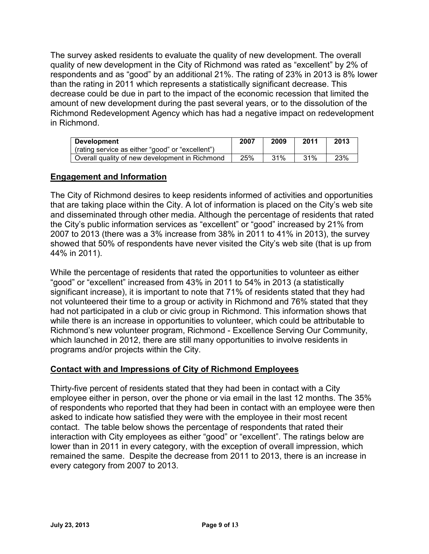The survey asked residents to evaluate the quality of new development. The overall quality of new development in the City of Richmond was rated as "excellent" by 2% of respondents and as "good" by an additional 21%. The rating of 23% in 2013 is 8% lower than the rating in 2011 which represents a statistically significant decrease. This decrease could be due in part to the impact of the economic recession that limited the amount of new development during the past several years, or to the dissolution of the Richmond Redevelopment Agency which has had a negative impact on redevelopment in Richmond.

| <b>Development</b>                               | 2007 | 2009 | 2011 | 2013 |
|--------------------------------------------------|------|------|------|------|
| (rating service as either "good" or "excellent") |      |      |      |      |
| Overall quality of new development in Richmond   | 25%  | 31%  | 31%  | 23%  |

### **Engagement and Information**

The City of Richmond desires to keep residents informed of activities and opportunities that are taking place within the City. A lot of information is placed on the City's web site and disseminated through other media. Although the percentage of residents that rated the City's public information services as "excellent" or "good" increased by 21% from 2007 to 2013 (there was a 3% increase from 38% in 2011 to 41% in 2013), the survey showed that 50% of respondents have never visited the City's web site (that is up from 44% in 2011).

While the percentage of residents that rated the opportunities to volunteer as either "good" or "excellent" increased from 43% in 2011 to 54% in 2013 (a statistically significant increase), it is important to note that 71% of residents stated that they had not volunteered their time to a group or activity in Richmond and 76% stated that they had not participated in a club or civic group in Richmond. This information shows that while there is an increase in opportunities to volunteer, which could be attributable to Richmond's new volunteer program, Richmond - Excellence Serving Our Community, which launched in 2012, there are still many opportunities to involve residents in programs and/or projects within the City.

### **Contact with and Impressions of City of Richmond Employees**

Thirty-five percent of residents stated that they had been in contact with a City employee either in person, over the phone or via email in the last 12 months. The 35% of respondents who reported that they had been in contact with an employee were then asked to indicate how satisfied they were with the employee in their most recent contact. The table below shows the percentage of respondents that rated their interaction with City employees as either "good" or "excellent". The ratings below are lower than in 2011 in every category, with the exception of overall impression, which remained the same. Despite the decrease from 2011 to 2013, there is an increase in every category from 2007 to 2013.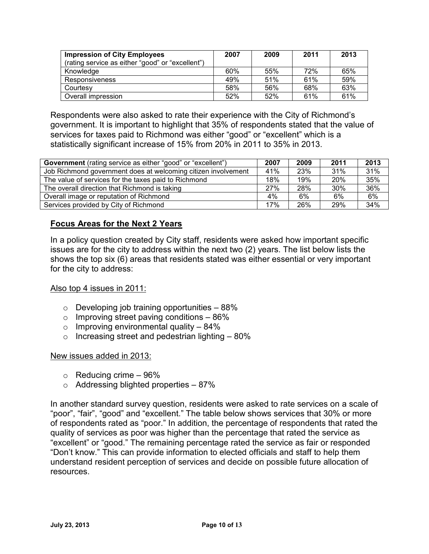| <b>Impression of City Employees</b><br>(rating service as either "good" or "excellent") | 2007 | 2009 | 2011 | 2013 |
|-----------------------------------------------------------------------------------------|------|------|------|------|
| Knowledge                                                                               | 60%  | 55%  | 72%  | 65%  |
| Responsiveness                                                                          | 49%  | 51%  | 61%  | 59%  |
| Courtesy                                                                                | 58%  | 56%  | 68%  | 63%  |
| Overall impression                                                                      | 52%  | 52%  | 61%  | 61%  |

Respondents were also asked to rate their experience with the City of Richmond's government. It is important to highlight that 35% of respondents stated that the value of services for taxes paid to Richmond was either "good" or "excellent" which is a statistically significant increase of 15% from 20% in 2011 to 35% in 2013.

| <b>Government</b> (rating service as either "good" or "excellent") | 2007 | 2009 | 2011 | 2013 |
|--------------------------------------------------------------------|------|------|------|------|
| Job Richmond government does at welcoming citizen involvement      | 41%  | 23%  | 31%  | 31%  |
| The value of services for the taxes paid to Richmond               | 18%  | 19%  | 20%  | 35%  |
| The overall direction that Richmond is taking                      | 27%  | 28%  | 30%  | 36%  |
| Overall image or reputation of Richmond                            | 4%   | 6%   | 6%   | 6%   |
| Services provided by City of Richmond                              | 17%  | 26%  | 29%  | 34%  |

# **Focus Areas for the Next 2 Years**

In a policy question created by City staff, residents were asked how important specific issues are for the city to address within the next two (2) years. The list below lists the shows the top six (6) areas that residents stated was either essential or very important for the city to address:

### Also top 4 issues in 2011:

- $\circ$  Developing job training opportunities  $-88\%$
- $\circ$  Improving street paving conditions 86%
- $\circ$  Improving environmental quality 84%
- $\circ$  Increasing street and pedestrian lighting  $-80\%$

### New issues added in 2013:

- $\circ$  Reducing crime 96%
- $\circ$  Addressing blighted properties 87%

In another standard survey question, residents were asked to rate services on a scale of "poor", "fair", "good" and "excellent." The table below shows services that 30% or more of respondents rated as "poor." In addition, the percentage of respondents that rated the quality of services as poor was higher than the percentage that rated the service as "excellent" or "good." The remaining percentage rated the service as fair or responded "Don't know." This can provide information to elected officials and staff to help them understand resident perception of services and decide on possible future allocation of resources.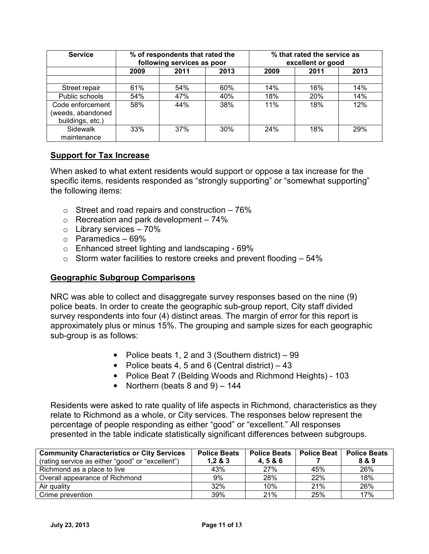| <b>Service</b>                                            |      | % of respondents that rated the<br>following services as poor |      | % that rated the service as<br>excellent or good |      |      |
|-----------------------------------------------------------|------|---------------------------------------------------------------|------|--------------------------------------------------|------|------|
|                                                           | 2009 | 2011                                                          | 2013 | 2009                                             | 2011 | 2013 |
| Street repair                                             | 61%  | 54%                                                           | 60%  | 14%                                              | 16%  | 14%  |
| Public schools                                            | 54%  | 47%                                                           | 40%  | 18%                                              | 20%  | 14%  |
| Code enforcement<br>(weeds, abandoned<br>buildings, etc.) | 58%  | 44%                                                           | 38%  | 11%                                              | 18%  | 12%  |
| Sidewalk<br>maintenance                                   | 33%  | 37%                                                           | 30%  | 24%                                              | 18%  | 29%  |

# **Support for Tax Increase**

When asked to what extent residents would support or oppose a tax increase for the specific items, residents responded as "strongly supporting" or "somewhat supporting" the following items:

- $\circ$  Street and road repairs and construction 76%
- $\circ$  Recreation and park development 74%
- $\circ$  Library services 70%
- $\circ$  Paramedics 69%
- o Enhanced street lighting and landscaping 69%
- $\circ$  Storm water facilities to restore creeks and prevent flooding  $-54\%$

### **Geographic Subgroup Comparisons**

NRC was able to collect and disaggregate survey responses based on the nine (9) police beats. In order to create the geographic sub-group report, City staff divided survey respondents into four (4) distinct areas. The margin of error for this report is approximately plus or minus 15%. The grouping and sample sizes for each geographic sub-group is as follows:

- Police beats 1, 2 and 3 (Southern district) 99
- Police beats 4, 5 and 6 (Central district)  $-43$
- Police Beat 7 (Belding Woods and Richmond Heights) 103
- Northern (beats  $8$  and  $9$ )  $144$

Residents were asked to rate quality of life aspects in Richmond, characteristics as they relate to Richmond as a whole, or City services. The responses below represent the percentage of people responding as either "good" or "excellent." All responses presented in the table indicate statistically significant differences between subgroups.

| <b>Community Characteristics or City Services</b> | <b>Police Beats</b><br>1,283 | <b>Police Beats</b><br>4.5&6 | <b>Police Beat</b> | <b>Police Beats</b><br>8 & 9 |
|---------------------------------------------------|------------------------------|------------------------------|--------------------|------------------------------|
| (rating service as either "good" or "excellent")  |                              |                              |                    |                              |
| Richmond as a place to live                       | 43%                          | 27%                          | 45%                | 26%                          |
| Overall appearance of Richmond                    | 9%                           | 28%                          | 22%                | 18%                          |
| Air quality                                       | 32%                          | 10%                          | 21%                | 26%                          |
| Crime prevention                                  | 39%                          | 21%                          | 25%                | 17%                          |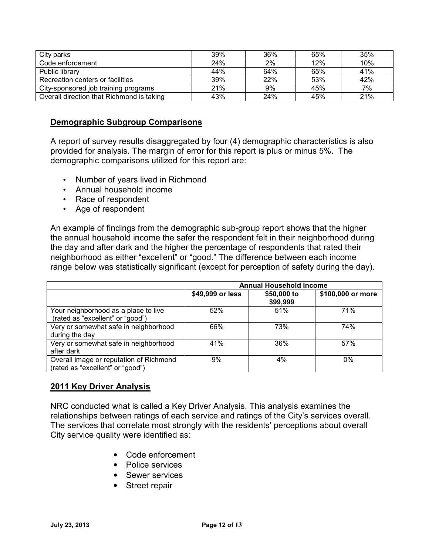| City parks                                | 39% | 36% | 65% | 35% |
|-------------------------------------------|-----|-----|-----|-----|
| Code enforcement                          | 24% | 2%  | 12% | 10% |
| Public library                            | 44% | 64% | 65% | 41% |
| Recreation centers or facilities          | 39% | 22% | 53% | 42% |
| City-sponsored job training programs      | 21% | 9%  | 45% | 7%  |
| Overall direction that Richmond is taking | 43% | 24% | 45% | 21% |

### **Demographic Subgroup Comparisons**

A report of survey results disaggregated by four (4) demographic characteristics is also provided for analysis. The margin of error for this report is plus or minus 5%. The demographic comparisons utilized for this report are:

- Number of years lived in Richmond
- Annual household income
- Race of respondent
- Age of respondent

An example of findings from the demographic sub-group report shows that the higher the annual household income the safer the respondent felt in their neighborhood during the day and after dark and the higher the percentage of respondents that rated their neighborhood as either "excellent" or "good." The difference between each income range below was statistically significant (except for perception of safety during the day).

|                                                                             | <b>Annual Household Income</b> |                         |                   |  |  |
|-----------------------------------------------------------------------------|--------------------------------|-------------------------|-------------------|--|--|
|                                                                             | \$49,999 or less               | \$50,000 to<br>\$99,999 | \$100,000 or more |  |  |
| Your neighborhood as a place to live<br>(rated as "excellent" or "good")    | 52%                            | 51%                     | 71%               |  |  |
| Very or somewhat safe in neighborhood<br>during the day                     | 66%                            | 73%                     | 74%               |  |  |
| Very or somewhat safe in neighborhood<br>after dark                         | 41%                            | 36%                     | 57%               |  |  |
| Overall image or reputation of Richmond<br>(rated as "excellent" or "good") | 9%                             | $4\%$                   | 0%                |  |  |

### **2011 Key Driver Analysis**

NRC conducted what is called a Key Driver Analysis. This analysis examines the relationships between ratings of each service and ratings of the City's services overall. The services that correlate most strongly with the residents' perceptions about overall City service quality were identified as:

- Code enforcement
- Police services
- Sewer services
- Street repair